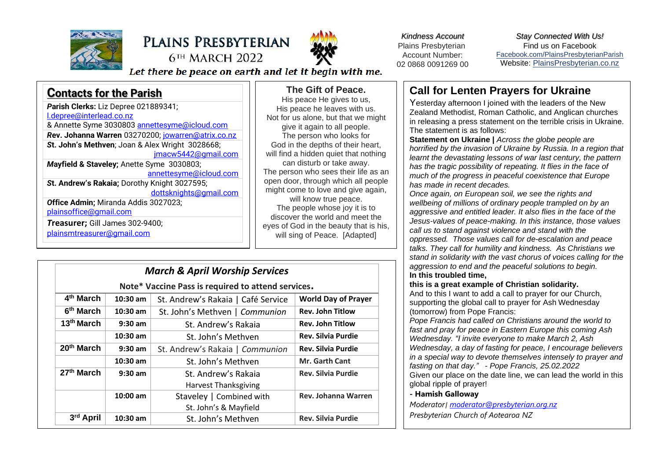

# PLAINS PRESBYTERIAN **6TH MARCH 2022**



*Kindness Account* Plains Presbyterian Account Number: 02 0868 0091269 00

*Stay Connected With Us!* Find us on Faceboo[k](file:///C:/Users/PlainsAdmin/Documents/2021PLAINS/ls/2022/Facebook.com/PlainsPresbyterianParish) [Facebook.com/PlainsPresbyterianParish](file:///C:/Users/PlainsAdmin/Documents/2021PLAINS/ls/2022/Facebook.com/PlainsPresbyterianParish) Website: [PlainsPresbyterian.co.nz](http://www.plainspresbyterian.co.nz/)

Let there be peace on earth and let it begin with me.

| <b>Contacts for the Parish</b>                     |
|----------------------------------------------------|
| Parish Clerks: Liz Depree 021889341;               |
| l.depree@interlead.co.nz                           |
| & Annette Syme 3030803 annettesyme@icloud.com      |
| Rev. Johanna Warren 03270200; jowarren@atrix.co.nz |
| St. John's Methven; Joan & Alex Wright 3028668;    |
| jmacw5442@gmail.com                                |
| Mayfield & Staveley; Anette Syme 3030803;          |
| <u>annettesyme@icloud.com</u>                      |
| St. Andrew's Rakaia; Dorothy Knight 3027595;       |
| dottsknights@gmail.com                             |
| Office Admin; Miranda Addis 3027023;               |
| plainsoffice@gmail.com                             |
| Treasurer; Gill James 302-9400;                    |
| plainsmtreasurer@gmail.com                         |
|                                                    |
|                                                    |

### **The Gift of Peace.**

His peace He gives to us, His peace he leaves with us. Not for us alone, but that we might give it again to all people. The person who looks for God in the depths of their heart, will find a hidden quiet that nothing can disturb or take away. The person who sees their life as an open door, through which all people might come to love and give again. will know true peace. The people whose joy it is to discover the world and meet the eyes of God in the beauty that is his, will sing of Peace. [Adapted]

# *March & April Worship Services*

**Note\* Vaccine Pass is required to attend services.**

| 4 <sup>th</sup> March  | $10:30$ am | St. Andrew's Rakaia   Café Service | <b>World Day of Prayer</b> |
|------------------------|------------|------------------------------------|----------------------------|
| 6 <sup>th</sup> March  | 10:30 am   | St. John's Methven   Communion     | <b>Rev. John Titlow</b>    |
| 13 <sup>th</sup> March | $9:30$ am  | St. Andrew's Rakaia                | <b>Rev. John Titlow</b>    |
|                        | $10:30$ am | St. John's Methven                 | <b>Rev. Silvia Purdie</b>  |
| 20th March             | $9:30$ am  | St. Andrew's Rakaia   Communion    | <b>Rev. Silvia Purdie</b>  |
|                        | $10:30$ am | St. John's Methven                 | <b>Mr. Garth Cant</b>      |
| 27th March             | $9:30$ am  | St. Andrew's Rakaja                | <b>Rev. Silvia Purdie</b>  |
|                        |            | <b>Harvest Thanksgiving</b>        |                            |
|                        | $10:00$ am | Staveley   Combined with           | Rev. Johanna Warren        |
|                        |            | St. John's & Mayfield              |                            |
| 3rd April              | $10:30$ am | St. John's Methven                 | <b>Rev. Silvia Purdie</b>  |

### **Call for Lenten Prayers for Ukraine**

Yesterday afternoon I joined with the leaders of the New Zealand Methodist, Roman Catholic, and Anglican churches in releasing a press statement on the terrible crisis in Ukraine. The statement is as follows:

**Statement on Ukraine |** *Across the globe people are horrified by the invasion of Ukraine by Russia. In a region that learnt the devastating lessons of war last century, the pattern has the tragic possibility of repeating. It flies in the face of much of the progress in peaceful coexistence that Europe has made in recent decades.*

*Once again, on European soil, we see the rights and wellbeing of millions of ordinary people trampled on by an aggressive and entitled leader. It also flies in the face of the Jesus-values of peace-making. In this instance, those values call us to stand against violence and stand with the oppressed. Those values call for de-escalation and peace talks. They call for humility and kindness. As Christians we stand in solidarity with the vast chorus of voices calling for the aggression to end and the peaceful solutions to begin.* **In this troubled time,**

#### **this is a great example of Christian solidarity.**

And to this I want to add a call to prayer for our Church, supporting the global call to prayer for Ash Wednesday (tomorrow) from Pope Francis:

*Pope Francis had called on Christians around the world to fast and pray for peace in Eastern Europe this coming Ash Wednesday. "I invite everyone to make March 2, Ash Wednesday, a day of fasting for peace, I encourage believers in a special way to devote themselves intensely to prayer and fasting on that day." - Pope Francis, 25.02.2022* Given our place on the date line, we can lead the world in this

#### global ripple of prayer! **- Hamish Galloway**

*Moderator| [moderator@presbyterian.org.nz](mailto:moderator@presbyterian.org.nz) Presbyterian Church of Aotearoa NZ*